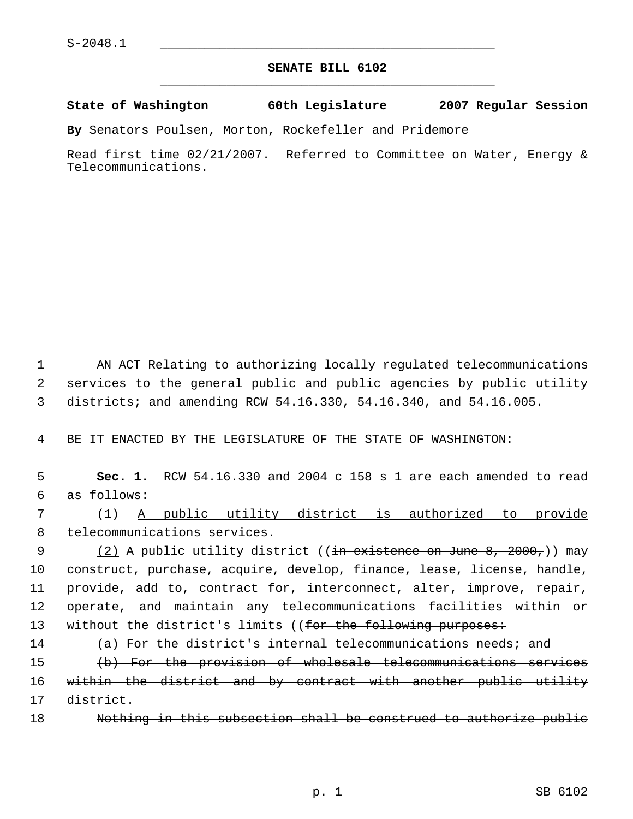## **SENATE BILL 6102** \_\_\_\_\_\_\_\_\_\_\_\_\_\_\_\_\_\_\_\_\_\_\_\_\_\_\_\_\_\_\_\_\_\_\_\_\_\_\_\_\_\_\_\_\_

**State of Washington 60th Legislature 2007 Regular Session**

**By** Senators Poulsen, Morton, Rockefeller and Pridemore

Read first time 02/21/2007. Referred to Committee on Water, Energy & Telecommunications.

 1 AN ACT Relating to authorizing locally regulated telecommunications 2 services to the general public and public agencies by public utility 3 districts; and amending RCW 54.16.330, 54.16.340, and 54.16.005.

4 BE IT ENACTED BY THE LEGISLATURE OF THE STATE OF WASHINGTON:

 5 **Sec. 1.** RCW 54.16.330 and 2004 c 158 s 1 are each amended to read 6 as follows:

 7 (1) A public utility district is authorized to provide 8 telecommunications services.

9 (2) A public utility district ((<del>in existence on June 8, 2000,</del>)) may 10 construct, purchase, acquire, develop, finance, lease, license, handle, 11 provide, add to, contract for, interconnect, alter, improve, repair, 12 operate, and maintain any telecommunications facilities within or 13 without the district's limits ((for the following purposes:

14  $(a)$  For the district's internal telecommunications needs; and

15 (b) For the provision of wholesale telecommunications services 16 within the district and by contract with another public utility 17 district.

18 Nothing in this subsection shall be construed to authorize public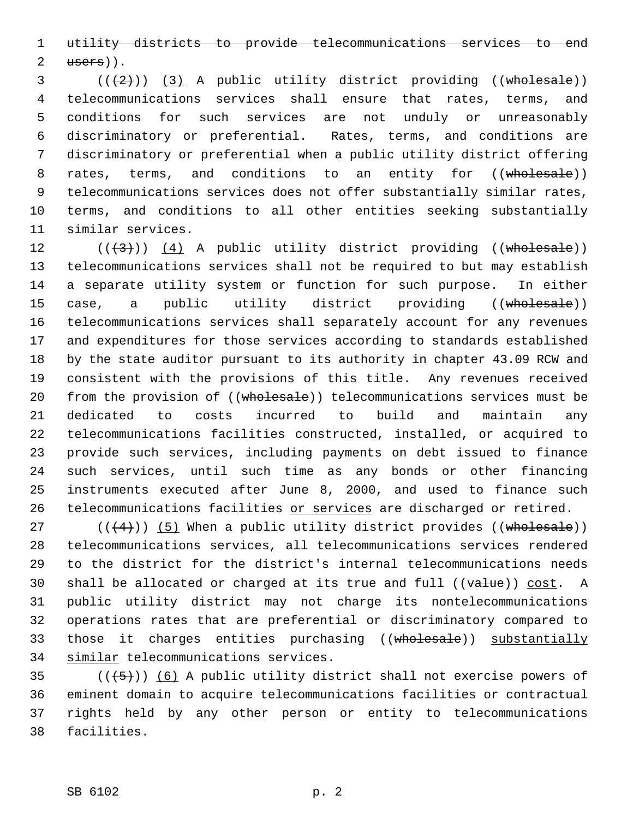utility districts to provide telecommunications services to end users)).

 $(3$  ( $(\frac{1}{2})$ ) (3) A public utility district providing ((wholesale)) telecommunications services shall ensure that rates, terms, and conditions for such services are not unduly or unreasonably discriminatory or preferential. Rates, terms, and conditions are discriminatory or preferential when a public utility district offering 8 rates, terms, and conditions to an entity for ((wholesale)) telecommunications services does not offer substantially similar rates, terms, and conditions to all other entities seeking substantially similar services.

 $((+3))$   $(4)$  A public utility district providing ((wholesale)) telecommunications services shall not be required to but may establish a separate utility system or function for such purpose. In either 15 case, a public utility district providing ((wholesale)) telecommunications services shall separately account for any revenues and expenditures for those services according to standards established by the state auditor pursuant to its authority in chapter 43.09 RCW and consistent with the provisions of this title. Any revenues received 20 from the provision of ((wholesale)) telecommunications services must be dedicated to costs incurred to build and maintain any telecommunications facilities constructed, installed, or acquired to provide such services, including payments on debt issued to finance such services, until such time as any bonds or other financing instruments executed after June 8, 2000, and used to finance such 26 telecommunications facilities or services are discharged or retired.

 $((4+))$  (5) When a public utility district provides ((wholesale)) telecommunications services, all telecommunications services rendered to the district for the district's internal telecommunications needs 30 shall be allocated or charged at its true and full  $((value))$  cost. A public utility district may not charge its nontelecommunications operations rates that are preferential or discriminatory compared to 33 those it charges entities purchasing ((wholesale)) substantially similar telecommunications services.

 $((+5))$  (6) A public utility district shall not exercise powers of eminent domain to acquire telecommunications facilities or contractual rights held by any other person or entity to telecommunications facilities.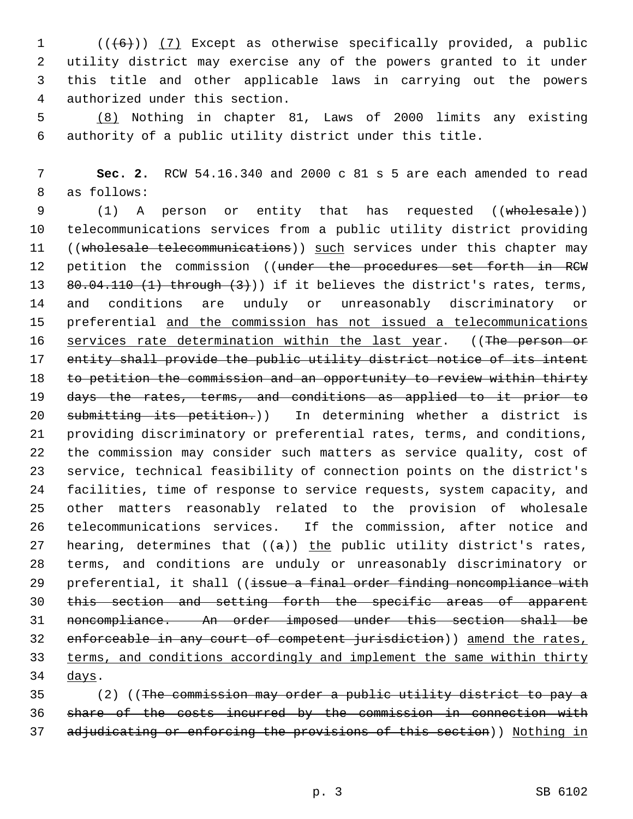$((+6))$   $(7)$  Except as otherwise specifically provided, a public utility district may exercise any of the powers granted to it under this title and other applicable laws in carrying out the powers authorized under this section.

 (8) Nothing in chapter 81, Laws of 2000 limits any existing authority of a public utility district under this title.

 **Sec. 2.** RCW 54.16.340 and 2000 c 81 s 5 are each amended to read as follows:

 (1) A person or entity that has requested ((wholesale)) telecommunications services from a public utility district providing 11 ((wholesale telecommunications)) such services under this chapter may 12 petition the commission ((under the procedures set forth in RCW 13 80.04.110 (1) through (3))) if it believes the district's rates, terms, and conditions are unduly or unreasonably discriminatory or preferential and the commission has not issued a telecommunications 16 services rate determination within the last year. ((The person or entity shall provide the public utility district notice of its intent to petition the commission and an opportunity to review within thirty days the rates, terms, and conditions as applied to it prior to 20 submitting its petition.)) In determining whether a district is providing discriminatory or preferential rates, terms, and conditions, the commission may consider such matters as service quality, cost of service, technical feasibility of connection points on the district's facilities, time of response to service requests, system capacity, and other matters reasonably related to the provision of wholesale telecommunications services. If the commission, after notice and 27 hearing, determines that  $((a))$  the public utility district's rates, terms, and conditions are unduly or unreasonably discriminatory or 29 preferential, it shall ((issue a final order finding noncompliance with this section and setting forth the specific areas of apparent noncompliance. An order imposed under this section shall be 32 enforceable in any court of competent jurisdiction)) amend the rates, terms, and conditions accordingly and implement the same within thirty days.

 (2) ((The commission may order a public utility district to pay a share of the costs incurred by the commission in connection with 37 adjudicating or enforcing the provisions of this section)) Nothing in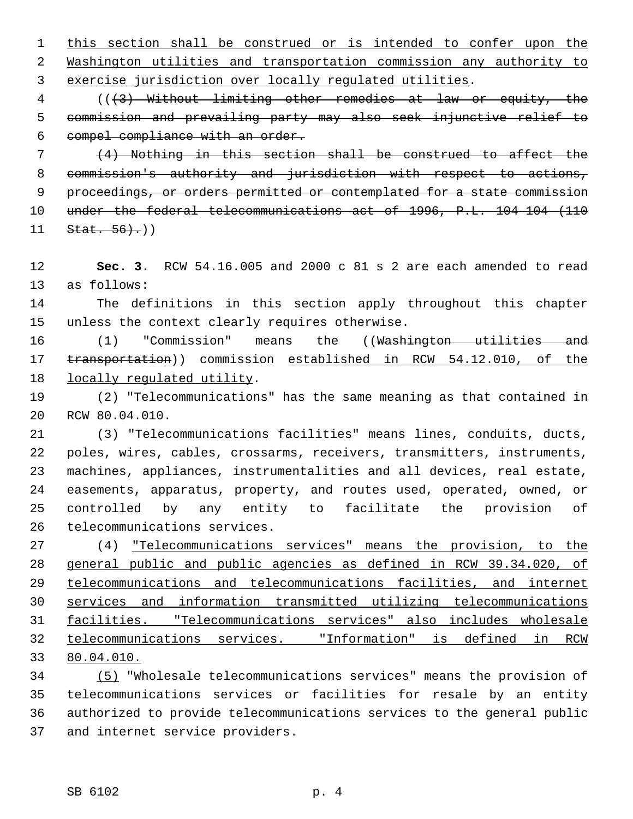this section shall be construed or is intended to confer upon the Washington utilities and transportation commission any authority to exercise jurisdiction over locally regulated utilities.

 (((3) Without limiting other remedies at law or equity, the commission and prevailing party may also seek injunctive relief to compel compliance with an order.

 (4) Nothing in this section shall be construed to affect the commission's authority and jurisdiction with respect to actions, 9 proceedings, or orders permitted or contemplated for a state commission under the federal telecommunications act of 1996, P.L. 104-104 (110 Stat. 56).))

 **Sec. 3.** RCW 54.16.005 and 2000 c 81 s 2 are each amended to read as follows:

 The definitions in this section apply throughout this chapter unless the context clearly requires otherwise.

16 (1) "Commission" means the ((Washington utilities and 17 transportation)) commission established in RCW 54.12.010, of the locally regulated utility.

 (2) "Telecommunications" has the same meaning as that contained in RCW 80.04.010.

 (3) "Telecommunications facilities" means lines, conduits, ducts, poles, wires, cables, crossarms, receivers, transmitters, instruments, machines, appliances, instrumentalities and all devices, real estate, easements, apparatus, property, and routes used, operated, owned, or controlled by any entity to facilitate the provision of telecommunications services.

 (4) "Telecommunications services" means the provision, to the general public and public agencies as defined in RCW 39.34.020, of telecommunications and telecommunications facilities, and internet services and information transmitted utilizing telecommunications facilities. "Telecommunications services" also includes wholesale telecommunications services. "Information" is defined in RCW 80.04.010.

 (5) "Wholesale telecommunications services" means the provision of telecommunications services or facilities for resale by an entity authorized to provide telecommunications services to the general public and internet service providers.